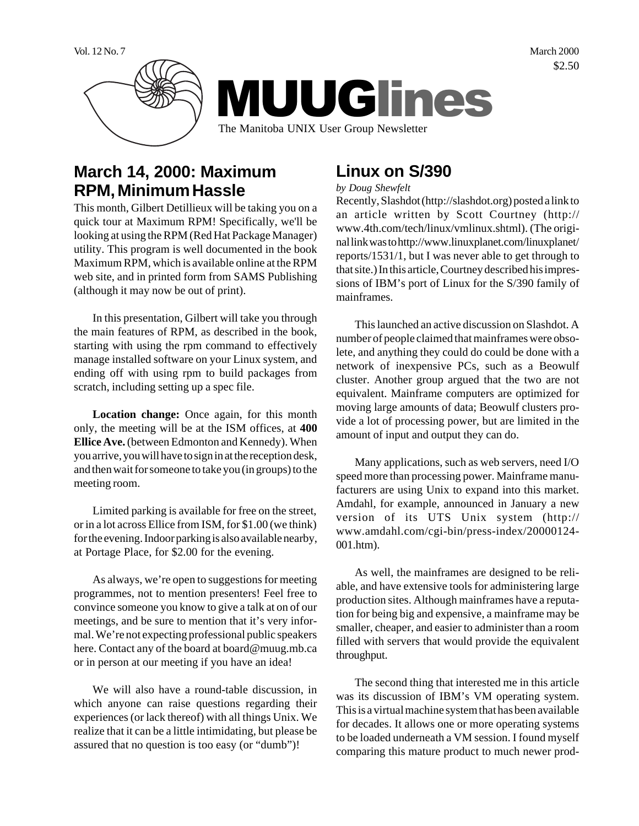Vol. 12 No. 7 March 2000 \$2.50



# **March 14, 2000: Maximum RPM, Minimum Hassle**

This month, Gilbert Detillieux will be taking you on a quick tour at Maximum RPM! Specifically, we'll be looking at using the RPM (Red Hat Package Manager) utility. This program is well documented in the book Maximum RPM, which is available online at the RPM web site, and in printed form from SAMS Publishing (although it may now be out of print).

In this presentation, Gilbert will take you through the main features of RPM, as described in the book, starting with using the rpm command to effectively manage installed software on your Linux system, and ending off with using rpm to build packages from scratch, including setting up a spec file.

**Location change:** Once again, for this month only, the meeting will be at the ISM offices, at **400 Ellice Ave.** (between Edmonton and Kennedy). When you arrive, you will have to sign in at the reception desk, and then wait for someone to take you (in groups) to the meeting room.

Limited parking is available for free on the street, or in a lot across Ellice from ISM, for \$1.00 (we think) for the evening. Indoor parking is also available nearby, at Portage Place, for \$2.00 for the evening.

As always, we're open to suggestions for meeting programmes, not to mention presenters! Feel free to convince someone you know to give a talk at on of our meetings, and be sure to mention that it's very informal. We're not expecting professional public speakers here. Contact any of the board at board@muug.mb.ca or in person at our meeting if you have an idea!

We will also have a round-table discussion, in which anyone can raise questions regarding their experiences (or lack thereof) with all things Unix. We realize that it can be a little intimidating, but please be assured that no question is too easy (or "dumb")!

# **Linux on S/390**

#### *by Doug Shewfelt*

Recently, Slashdot (http://slashdot.org) posted a link to an article written by Scott Courtney (http:// www.4th.com/tech/linux/vmlinux.shtml). (The original link was to http://www.linuxplanet.com/linuxplanet/ reports/1531/1, but I was never able to get through to that site.) In this article, Courtney described his impressions of IBM's port of Linux for the S/390 family of mainframes.

This launched an active discussion on Slashdot. A number of people claimed that mainframes were obsolete, and anything they could do could be done with a network of inexpensive PCs, such as a Beowulf cluster. Another group argued that the two are not equivalent. Mainframe computers are optimized for moving large amounts of data; Beowulf clusters provide a lot of processing power, but are limited in the amount of input and output they can do.

Many applications, such as web servers, need I/O speed more than processing power. Mainframe manufacturers are using Unix to expand into this market. Amdahl, for example, announced in January a new version of its UTS Unix system (http:// www.amdahl.com/cgi-bin/press-index/20000124- 001.htm).

As well, the mainframes are designed to be reliable, and have extensive tools for administering large production sites. Although mainframes have a reputation for being big and expensive, a mainframe may be smaller, cheaper, and easier to administer than a room filled with servers that would provide the equivalent throughput.

The second thing that interested me in this article was its discussion of IBM's VM operating system. This is a virtual machine system that has been available for decades. It allows one or more operating systems to be loaded underneath a VM session. I found myself comparing this mature product to much newer prod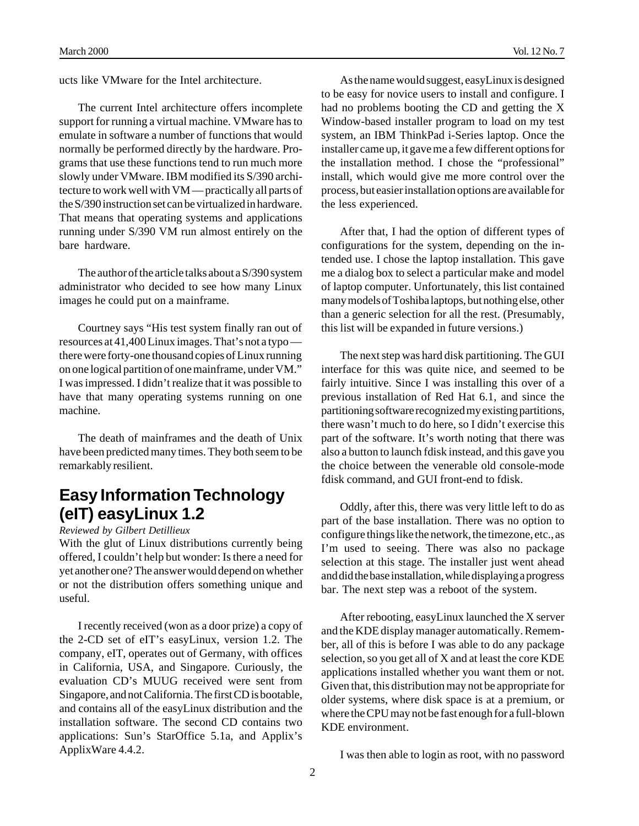ucts like VMware for the Intel architecture.

The current Intel architecture offers incomplete support for running a virtual machine. VMware has to emulate in software a number of functions that would normally be performed directly by the hardware. Programs that use these functions tend to run much more slowly under VMware. IBM modified its S/390 architecture to work well with VM — practically all parts of the S/390 instruction set can be virtualized in hardware. That means that operating systems and applications running under S/390 VM run almost entirely on the bare hardware.

The author of the article talks about a S/390 system administrator who decided to see how many Linux images he could put on a mainframe.

Courtney says "His test system finally ran out of resources at 41,400 Linux images. That's not a typo there were forty-one thousand copies of Linux running on one logical partition of one mainframe, under VM." I was impressed. I didn't realize that it was possible to have that many operating systems running on one machine.

The death of mainframes and the death of Unix have been predicted many times. They both seem to be remarkably resilient.

# **Easy Information Technology (eIT) easyLinux 1.2**

*Reviewed by Gilbert Detillieux*

With the glut of Linux distributions currently being offered, I couldn't help but wonder: Is there a need for yet another one? The answer would depend on whether or not the distribution offers something unique and useful.

I recently received (won as a door prize) a copy of the 2-CD set of eIT's easyLinux, version 1.2. The company, eIT, operates out of Germany, with offices in California, USA, and Singapore. Curiously, the evaluation CD's MUUG received were sent from Singapore, and not California. The first CD is bootable, and contains all of the easyLinux distribution and the installation software. The second CD contains two applications: Sun's StarOffice 5.1a, and Applix's ApplixWare 4.4.2.

As the name would suggest, easyLinux is designed to be easy for novice users to install and configure. I had no problems booting the CD and getting the X Window-based installer program to load on my test system, an IBM ThinkPad i-Series laptop. Once the installer came up, it gave me a few different options for the installation method. I chose the "professional" install, which would give me more control over the process, but easier installation options are available for the less experienced.

After that, I had the option of different types of configurations for the system, depending on the intended use. I chose the laptop installation. This gave me a dialog box to select a particular make and model of laptop computer. Unfortunately, this list contained many models of Toshiba laptops, but nothing else, other than a generic selection for all the rest. (Presumably, this list will be expanded in future versions.)

The next step was hard disk partitioning. The GUI interface for this was quite nice, and seemed to be fairly intuitive. Since I was installing this over of a previous installation of Red Hat 6.1, and since the partitioning software recognized my existing partitions, there wasn't much to do here, so I didn't exercise this part of the software. It's worth noting that there was also a button to launch fdisk instead, and this gave you the choice between the venerable old console-mode fdisk command, and GUI front-end to fdisk.

Oddly, after this, there was very little left to do as part of the base installation. There was no option to configure things like the network, the timezone, etc., as I'm used to seeing. There was also no package selection at this stage. The installer just went ahead and did the base installation, while displaying a progress bar. The next step was a reboot of the system.

After rebooting, easyLinux launched the X server and the KDE display manager automatically. Remember, all of this is before I was able to do any package selection, so you get all of X and at least the core KDE applications installed whether you want them or not. Given that, this distribution may not be appropriate for older systems, where disk space is at a premium, or where the CPU may not be fast enough for a full-blown KDE environment.

I was then able to login as root, with no password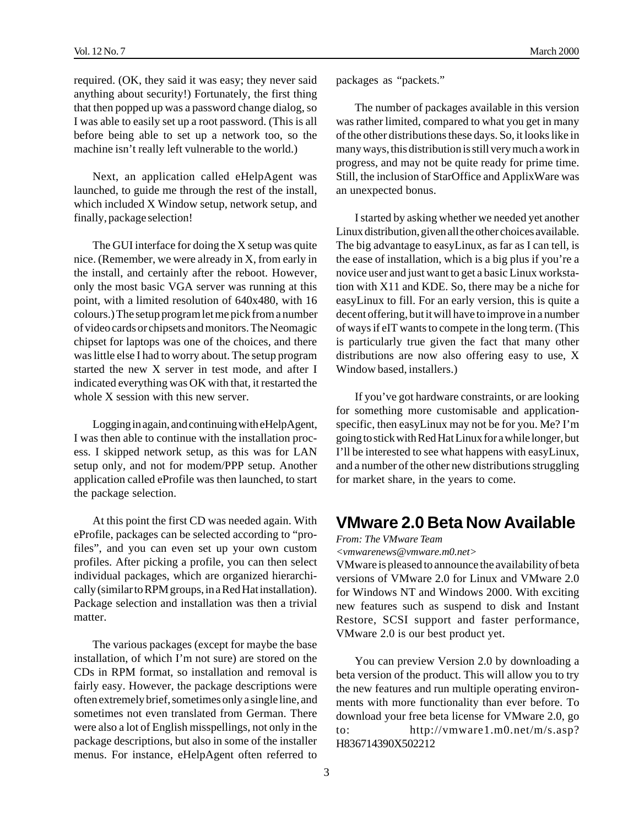required. (OK, they said it was easy; they never said anything about security!) Fortunately, the first thing that then popped up was a password change dialog, so I was able to easily set up a root password. (This is all before being able to set up a network too, so the machine isn't really left vulnerable to the world.)

Next, an application called eHelpAgent was launched, to guide me through the rest of the install, which included X Window setup, network setup, and finally, package selection!

The GUI interface for doing the X setup was quite nice. (Remember, we were already in X, from early in the install, and certainly after the reboot. However, only the most basic VGA server was running at this point, with a limited resolution of 640x480, with 16 colours.) The setup program let me pick from a number of video cards or chipsets and monitors. The Neomagic chipset for laptops was one of the choices, and there was little else I had to worry about. The setup program started the new X server in test mode, and after I indicated everything was OK with that, it restarted the whole X session with this new server.

Logging in again, and continuing with eHelpAgent, I was then able to continue with the installation process. I skipped network setup, as this was for LAN setup only, and not for modem/PPP setup. Another application called eProfile was then launched, to start the package selection.

At this point the first CD was needed again. With eProfile, packages can be selected according to "profiles", and you can even set up your own custom profiles. After picking a profile, you can then select individual packages, which are organized hierarchically (similar to RPM groups, in a Red Hat installation). Package selection and installation was then a trivial matter.

The various packages (except for maybe the base installation, of which I'm not sure) are stored on the CDs in RPM format, so installation and removal is fairly easy. However, the package descriptions were often extremely brief, sometimes only a single line, and sometimes not even translated from German. There were also a lot of English misspellings, not only in the package descriptions, but also in some of the installer menus. For instance, eHelpAgent often referred to

packages as "packets."

The number of packages available in this version was rather limited, compared to what you get in many of the other distributions these days. So, it looks like in many ways, this distribution is still very much a work in progress, and may not be quite ready for prime time. Still, the inclusion of StarOffice and ApplixWare was an unexpected bonus.

I started by asking whether we needed yet another Linux distribution, given all the other choices available. The big advantage to easyLinux, as far as I can tell, is the ease of installation, which is a big plus if you're a novice user and just want to get a basic Linux workstation with X11 and KDE. So, there may be a niche for easyLinux to fill. For an early version, this is quite a decent offering, but it will have to improve in a number of ways if eIT wants to compete in the long term. (This is particularly true given the fact that many other distributions are now also offering easy to use, X Window based, installers.)

If you've got hardware constraints, or are looking for something more customisable and applicationspecific, then easyLinux may not be for you. Me? I'm going to stick with Red Hat Linux for a while longer, but I'll be interested to see what happens with easyLinux, and a number of the other new distributions struggling for market share, in the years to come.

### **VMware 2.0 Beta Now Available**

*From: The VMware Team*

*<vmwarenews@vmware.m0.net>*

VMware is pleased to announce the availability of beta versions of VMware 2.0 for Linux and VMware 2.0 for Windows NT and Windows 2000. With exciting new features such as suspend to disk and Instant Restore, SCSI support and faster performance, VMware 2.0 is our best product yet.

You can preview Version 2.0 by downloading a beta version of the product. This will allow you to try the new features and run multiple operating environments with more functionality than ever before. To download your free beta license for VMware 2.0, go to: http://vmware1.m0.net/m/s.asp? H836714390X502212